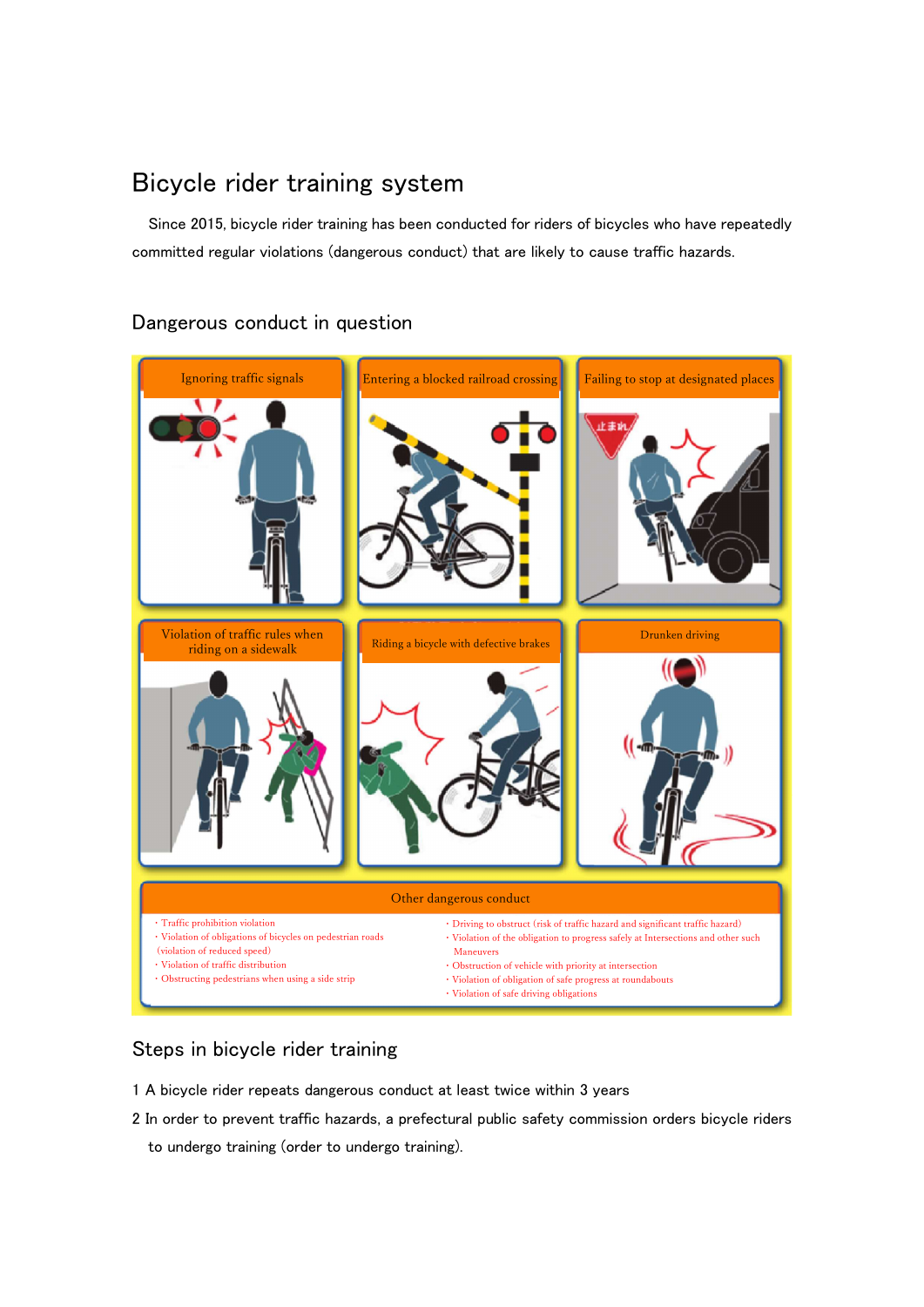## Bicycle rider training system

Since 2015, bicycle rider training has been conducted for riders of bicycles who have repeatedly committed regular violations (dangerous conduct) that are likely to cause traffic hazards.

# Ignoring traffic signals **Entering a blocked railroad crossing** Failing to stop at designated places 止まめ Violation of traffic rules when<br>riding on a sidewalk Riding a bicycle with defective brakes **Drunken driving** Other dangerous conduct ・Traffic prohibition violation ・Driving to obstruct (risk of traffic hazard and significant traffic hazard) ・Violation of obligations of bicycles on pedestrian roads  $\cdot$  Violation of the obligation to progress safely at Intersections and other such (violation of reduced speed) **Maneuvers** ・Violation of traffic distribution ・Obstruction of vehicle with priority at intersection ・Obstructing pedestrians when using a side strip ・Violation of obligation of safe progress at roundabouts ・Violation of safe driving obligations

#### Dangerous conduct in question

#### Steps in bicycle rider training

- 1 A bicycle rider repeats dangerous conduct at least twice within 3 years
- 2 In order to prevent traffic hazards, a prefectural public safety commission orders bicycle riders to undergo training (order to undergo training).